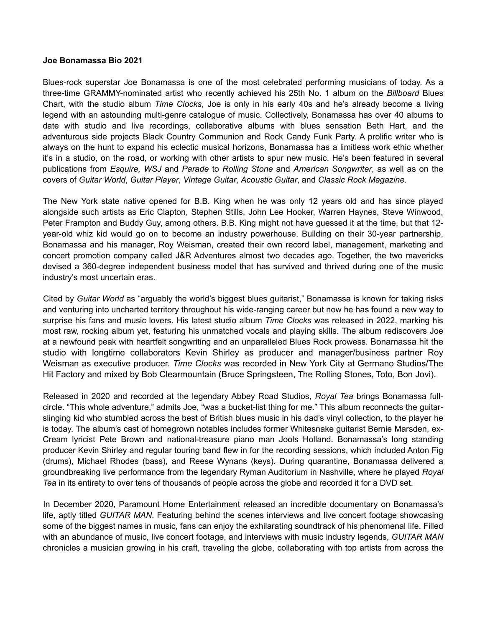## **Joe Bonamassa Bio 2021**

Blues-rock superstar Joe Bonamassa is one of the most celebrated performing musicians of today. As a three-time GRAMMY-nominated artist who recently achieved his 25th No. 1 album on the *Billboard* Blues Chart, with the studio album *Time Clocks*, Joe is only in his early 40s and he's already become a living legend with an astounding multi-genre catalogue of music. Collectively, Bonamassa has over 40 albums to date with studio and live recordings, collaborative albums with blues sensation Beth Hart, and the adventurous side projects Black Country Communion and Rock Candy Funk Party. A prolific writer who is always on the hunt to expand his eclectic musical horizons, Bonamassa has a limitless work ethic whether it's in a studio, on the road, or working with other artists to spur new music. He's been featured in several publications from *Esquire, WSJ* and *Parade* to *Rolling Stone* and *American Songwriter*, as well as on the covers of *Guitar World*, *Guitar Player*, *Vintage Guitar*, *Acoustic Guitar*, and *Classic Rock Magazine*.

The New York state native opened for B.B. King when he was only 12 years old and has since played alongside such artists as Eric Clapton, Stephen Stills, John Lee Hooker, Warren Haynes, Steve Winwood, Peter Frampton and Buddy Guy, among others. B.B. King might not have guessed it at the time, but that 12 year-old whiz kid would go on to become an industry powerhouse. Building on their 30-year partnership, Bonamassa and his manager, Roy Weisman, created their own record label, management, marketing and concert promotion company called J&R Adventures almost two decades ago. Together, the two mavericks devised a 360-degree independent business model that has survived and thrived during one of the music industry's most uncertain eras.

Cited by *Guitar World* as "arguably the world's biggest blues guitarist," Bonamassa is known for taking risks and venturing into uncharted territory throughout his wide-ranging career but now he has found a new way to surprise his fans and music lovers. His latest studio album *Time Clocks* was released in 2022, marking his most raw, rocking album yet, featuring his unmatched vocals and playing skills. The album rediscovers Joe at a newfound peak with heartfelt songwriting and an unparalleled Blues Rock prowess. Bonamassa hit the studio with longtime collaborators Kevin Shirley as producer and manager/business partner Roy Weisman as executive producer. *Time Clocks* was recorded in New York City at Germano Studios/The Hit Factory and mixed by Bob Clearmountain (Bruce Springsteen, The Rolling Stones, Toto, Bon Jovi).

Released in 2020 and recorded at the legendary Abbey Road Studios, *Royal Tea* brings Bonamassa fullcircle. "This whole adventure," admits Joe, "was a bucket-list thing for me." This album reconnects the guitarslinging kid who stumbled across the best of British blues music in his dad's vinyl collection, to the player he is today. The album's cast of homegrown notables includes former Whitesnake guitarist Bernie Marsden, ex-Cream lyricist Pete Brown and national-treasure piano man Jools Holland. Bonamassa's long standing producer Kevin Shirley and regular touring band flew in for the recording sessions, which included Anton Fig (drums), Michael Rhodes (bass), and Reese Wynans (keys). During quarantine, Bonamassa delivered a groundbreaking live performance from the legendary Ryman Auditorium in Nashville, where he played *Royal Tea* in its entirety to over tens of thousands of people across the globe and recorded it for a DVD set.

In December 2020, Paramount Home Entertainment released an incredible documentary on Bonamassa's life, aptly titled *GUITAR MAN*. Featuring behind the scenes interviews and live concert footage showcasing some of the biggest names in music, fans can enjoy the exhilarating soundtrack of his phenomenal life. Filled with an abundance of music, live concert footage, and interviews with music industry legends, *GUITAR MAN*  chronicles a musician growing in his craft, traveling the globe, collaborating with top artists from across the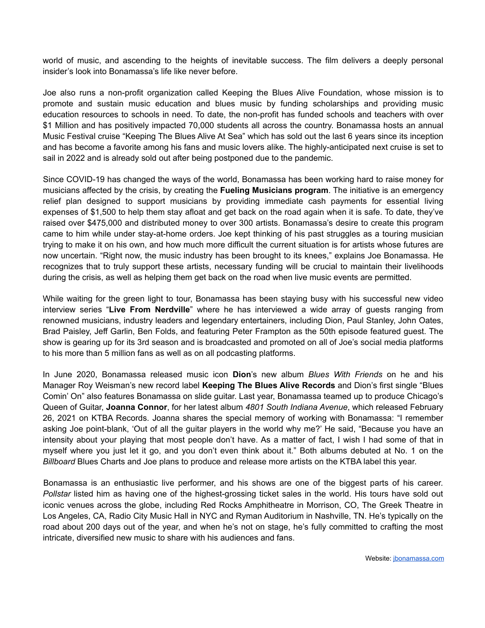world of music, and ascending to the heights of inevitable success. The film delivers a deeply personal insider's look into Bonamassa's life like never before.

Joe also runs a non-profit organization called Keeping the Blues Alive Foundation, whose mission is to promote and sustain music education and blues music by funding scholarships and providing music education resources to schools in need. To date, the non-profit has funded schools and teachers with over \$1 Million and has positively impacted 70,000 students all across the country. Bonamassa hosts an annual Music Festival cruise "Keeping The Blues Alive At Sea" which has sold out the last 6 years since its inception and has become a favorite among his fans and music lovers alike. The highly-anticipated next cruise is set to sail in 2022 and is already sold out after being postponed due to the pandemic.

Since COVID-19 has changed the ways of the world, Bonamassa has been working hard to raise money for musicians affected by the crisis, by creating the **Fueling Musicians program**. The initiative is an emergency relief plan designed to support musicians by providing immediate cash payments for essential living expenses of \$1,500 to help them stay afloat and get back on the road again when it is safe. To date, they've raised over \$475,000 and distributed money to over 300 artists. Bonamassa's desire to create this program came to him while under stay-at-home orders. Joe kept thinking of his past struggles as a touring musician trying to make it on his own, and how much more difficult the current situation is for artists whose futures are now uncertain. "Right now, the music industry has been brought to its knees," explains Joe Bonamassa. He recognizes that to truly support these artists, necessary funding will be crucial to maintain their livelihoods during the crisis, as well as helping them get back on the road when live music events are permitted.

While waiting for the green light to tour, Bonamassa has been staying busy with his successful new video interview series "**Live From Nerdville**" where he has interviewed a wide array of guests ranging from renowned musicians, industry leaders and legendary entertainers, including Dion, Paul Stanley, John Oates, Brad Paisley, Jeff Garlin, Ben Folds, and featuring Peter Frampton as the 50th episode featured guest. The show is gearing up for its 3rd season and is broadcasted and promoted on all of Joe's social media platforms to his more than 5 million fans as well as on all podcasting platforms.

In June 2020, Bonamassa released music icon **Dion**'s new album *Blues With Friends* on he and his Manager Roy Weisman's new record label **Keeping The Blues Alive Records** and Dion's first single "Blues Comin' On" also features Bonamassa on slide guitar. Last year, Bonamassa teamed up to produce Chicago's Queen of Guitar, **Joanna Connor**, for her latest album *4801 South Indiana Avenue*, which released February 26, 2021 on KTBA Records. Joanna shares the special memory of working with Bonamassa: "I remember asking Joe point-blank, 'Out of all the guitar players in the world why me?' He said, "Because you have an intensity about your playing that most people don't have. As a matter of fact, I wish I had some of that in myself where you just let it go, and you don't even think about it." Both albums debuted at No. 1 on the *Billboard* Blues Charts and Joe plans to produce and release more artists on the KTBA label this year.

Bonamassa is an enthusiastic live performer, and his shows are one of the biggest parts of his career. *Pollstar* listed him as having one of the highest-grossing ticket sales in the world. His tours have sold out iconic venues across the globe, including Red Rocks Amphitheatre in Morrison, CO, The Greek Theatre in Los Angeles, CA, Radio City Music Hall in NYC and Ryman Auditorium in Nashville, TN. He's typically on the road about 200 days out of the year, and when he's not on stage, he's fully committed to crafting the most intricate, diversified new music to share with his audiences and fans.